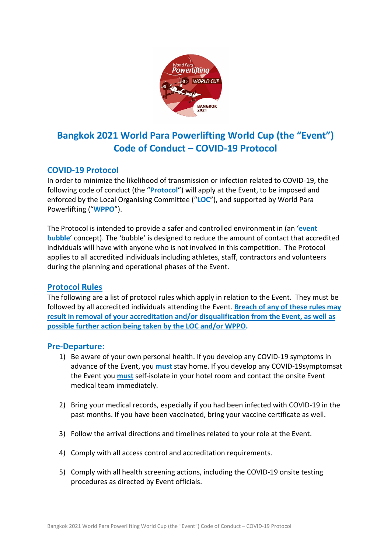

# **Bangkok 2021 World Para Powerlifting World Cup (the "Event") Code of Conduct – COVID-19 Protocol**

## **COVID-19 Protocol**

In order to minimize the likelihood of transmission or infection related to COVID-19, the following code of conduct (the "**Protocol**") will apply at the Event, to be imposed and enforced by the Local Organising Committee ("**LOC**"), and supported by World Para Powerlifting ("**WPPO**").

The Protocol is intended to provide a safer and controlled environment in (an '**event bubble**' concept). The 'bubble' is designed to reduce the amount of contact that accredited individuals will have with anyone who is not involved in this competition. The Protocol applies to all accredited individuals including athletes, staff, contractors and volunteers during the planning and operational phases of the Event.

### **Protocol Rules**

The following are a list of protocol rules which apply in relation to the Event. They must be followed by all accredited individuals attending the Event. **Breach of any of these rules may result in removal of your accreditation and/or disqualification from the Event, as well as possible further action being taken by the LOC and/or WPPO.**

### **Pre-Departure:**

- 1) Be aware of your own personal health. If you develop any COVID-19 symptoms in advance of the Event, you **must** stay home. If you develop any COVID-19symptomsat the Event you **must** self-isolate in your hotel room and contact the onsite Event medical team immediately.
- 2) Bring your medical records, especially if you had been infected with COVID-19 in the past months. If you have been vaccinated, bring your vaccine certificate as well.
- 3) Follow the arrival directions and timelines related to your role at the Event.
- 4) Comply with all access control and accreditation requirements.
- 5) Comply with all health screening actions, including the COVID-19 onsite testing procedures as directed by Event officials.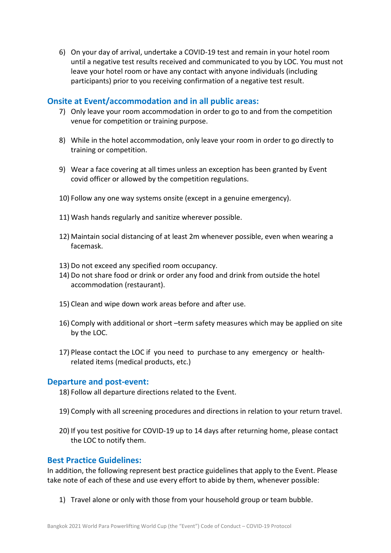6) On your day of arrival, undertake a COVID-19 test and remain in your hotel room until a negative test results received and communicated to you by LOC. You must not leave your hotel room or have any contact with anyone individuals (including participants) prior to you receiving confirmation of a negative test result.

### **Onsite at Event/accommodation and in all public areas:**

- 7) Only leave your room accommodation in order to go to and from the competition venue for competition or training purpose.
- 8) While in the hotel accommodation, only leave your room in order to go directly to training or competition.
- 9) Wear a face covering at all times unless an exception has been granted by Event covid officer or allowed by the competition regulations.
- 10) Follow any one way systems onsite (except in a genuine emergency).
- 11) Wash hands regularly and sanitize wherever possible.
- 12) Maintain social distancing of at least 2m whenever possible, even when wearing a facemask.
- 13) Do not exceed any specified room occupancy.
- 14) Do not share food or drink or order any food and drink from outside the hotel accommodation (restaurant).
- 15) Clean and wipe down work areas before and after use.
- 16) Comply with additional or short –term safety measures which may be applied on site by the LOC.
- 17) Please contact the LOC if you need to purchase to any emergency or healthrelated items (medical products, etc.)

#### **Departure and post-event:**

- 18) Follow all departure directions related to the Event.
- 19) Comply with all screening procedures and directions in relation to your return travel.
- 20) If you test positive for COVID-19 up to 14 days after returning home, please contact the LOC to notify them.

### **Best Practice Guidelines:**

In addition, the following represent best practice guidelines that apply to the Event. Please take note of each of these and use every effort to abide by them, whenever possible:

1) Travel alone or only with those from your household group or team bubble.